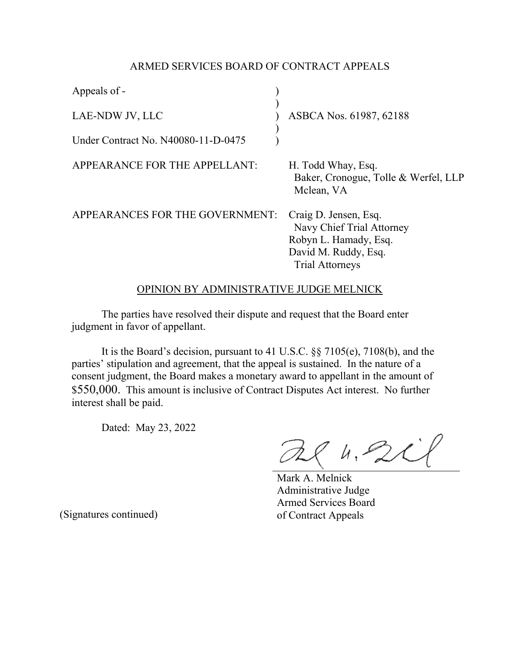## ARMED SERVICES BOARD OF CONTRACT APPEALS

| Appeals of -                        |                                                                                                                               |
|-------------------------------------|-------------------------------------------------------------------------------------------------------------------------------|
| LAE-NDW JV, LLC                     | ASBCA Nos. 61987, 62188                                                                                                       |
| Under Contract No. N40080-11-D-0475 |                                                                                                                               |
| APPEARANCE FOR THE APPELLANT:       | H. Todd Whay, Esq.<br>Baker, Cronogue, Tolle & Werfel, LLP<br>Mclean, VA                                                      |
| APPEARANCES FOR THE GOVERNMENT:     | Craig D. Jensen, Esq.<br>Navy Chief Trial Attorney<br>Robyn L. Hamady, Esq.<br>David M. Ruddy, Esq.<br><b>Trial Attorneys</b> |

## OPINION BY ADMINISTRATIVE JUDGE MELNICK

The parties have resolved their dispute and request that the Board enter judgment in favor of appellant.

It is the Board's decision, pursuant to 41 U.S.C. §§ 7105(e), 7108(b), and the parties' stipulation and agreement, that the appeal is sustained. In the nature of a consent judgment, the Board makes a monetary award to appellant in the amount of \$550,000. This amount is inclusive of Contract Disputes Act interest. No further interest shall be paid.

Dated: May 23, 2022

 $84.201$ 

Mark A. Melnick Administrative Judge Armed Services Board of Contract Appeals

(Signatures continued)